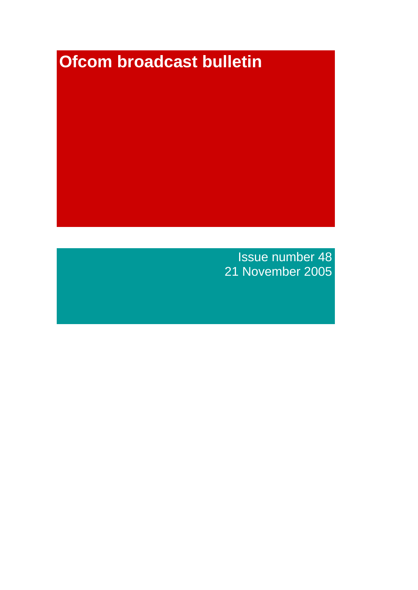# **Ofcom broadcast bulletin**

Issue number 48 21 November 2005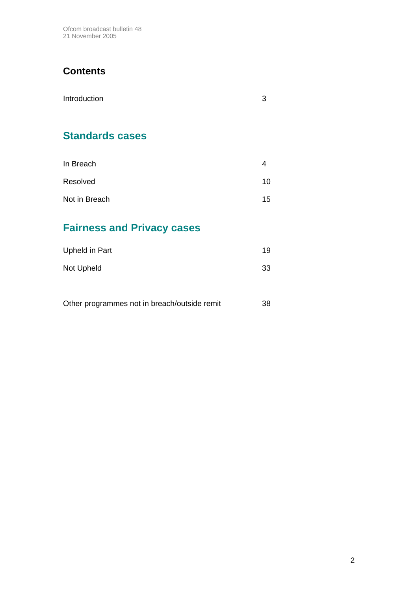Ofcom broadcast bulletin 48 21 November 2005

# **Contents**

| Introduction | 3 |
|--------------|---|
|              |   |

# **Standards cases**

| In Breach     |    |
|---------------|----|
| Resolved      | 10 |
| Not in Breach | 15 |

# **Fairness and Privacy cases**

| Upheld in Part | 19 |
|----------------|----|
| Not Upheld     | 33 |

| Other programmes not in breach/outside remit | 38 |
|----------------------------------------------|----|
|----------------------------------------------|----|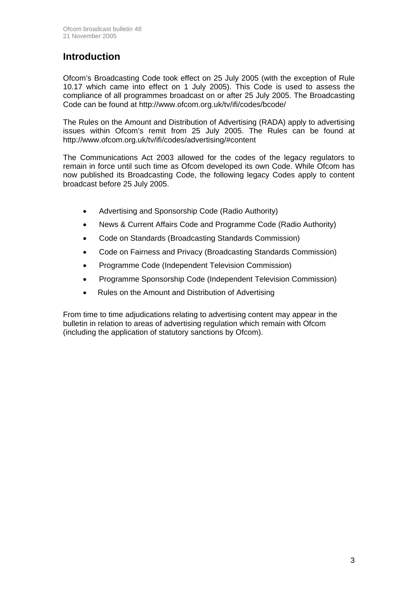# **Introduction**

Ofcom's Broadcasting Code took effect on 25 July 2005 (with the exception of Rule 10.17 which came into effect on 1 July 2005). This Code is used to assess the compliance of all programmes broadcast on or after 25 July 2005. The Broadcasting Code can be found at http://www.ofcom.org.uk/tv/ifi/codes/bcode/

The Rules on the Amount and Distribution of Advertising (RADA) apply to advertising issues within Ofcom's remit from 25 July 2005. The Rules can be found at http://www.ofcom.org.uk/tv/ifi/codes/advertising/#content

The Communications Act 2003 allowed for the codes of the legacy regulators to remain in force until such time as Ofcom developed its own Code. While Ofcom has now published its Broadcasting Code, the following legacy Codes apply to content broadcast before 25 July 2005.

- Advertising and Sponsorship Code (Radio Authority)
- News & Current Affairs Code and Programme Code (Radio Authority)
- Code on Standards (Broadcasting Standards Commission)
- Code on Fairness and Privacy (Broadcasting Standards Commission)
- Programme Code (Independent Television Commission)
- Programme Sponsorship Code (Independent Television Commission)
- Rules on the Amount and Distribution of Advertising

From time to time adjudications relating to advertising content may appear in the bulletin in relation to areas of advertising regulation which remain with Ofcom (including the application of statutory sanctions by Ofcom).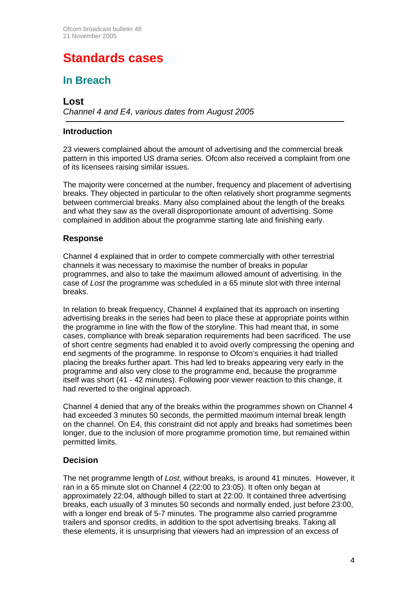# **Standards cases**

# **In Breach**

# **Lost**

*Channel 4 and E4, various dates from August 2005* 

## **Introduction**

23 viewers complained about the amount of advertising and the commercial break pattern in this imported US drama series. Ofcom also received a complaint from one of its licensees raising similar issues.

The majority were concerned at the number, frequency and placement of advertising breaks. They objected in particular to the often relatively short programme segments between commercial breaks. Many also complained about the length of the breaks and what they saw as the overall disproportionate amount of advertising. Some complained in addition about the programme starting late and finishing early.

#### **Response**

Channel 4 explained that in order to compete commercially with other terrestrial channels it was necessary to maximise the number of breaks in popular programmes, and also to take the maximum allowed amount of advertising. In the case of *Lost* the programme was scheduled in a 65 minute slot with three internal breaks.

In relation to break frequency, Channel 4 explained that its approach on inserting advertising breaks in the series had been to place these at appropriate points within the programme in line with the flow of the storyline. This had meant that, in some cases, compliance with break separation requirements had been sacrificed. The use of short centre segments had enabled it to avoid overly compressing the opening and end segments of the programme. In response to Ofcom's enquiries it had trialled placing the breaks further apart. This had led to breaks appearing very early in the programme and also very close to the programme end, because the programme itself was short (41 - 42 minutes). Following poor viewer reaction to this change, it had reverted to the original approach.

Channel 4 denied that any of the breaks within the programmes shown on Channel 4 had exceeded 3 minutes 50 seconds, the permitted maximum internal break length on the channel. On E4, this constraint did not apply and breaks had sometimes been longer, due to the inclusion of more programme promotion time, but remained within permitted limits.

# **Decision**

The net programme length of *Lost,* without breaks*,* is around 41 minutes. However, it ran in a 65 minute slot on Channel 4 (22:00 to 23:05). It often only began at approximately 22:04, although billed to start at 22:00. It contained three advertising breaks, each usually of 3 minutes 50 seconds and normally ended, just before 23:00, with a longer end break of 5-7 minutes. The programme also carried programme trailers and sponsor credits, in addition to the spot advertising breaks. Taking all these elements, it is unsurprising that viewers had an impression of an excess of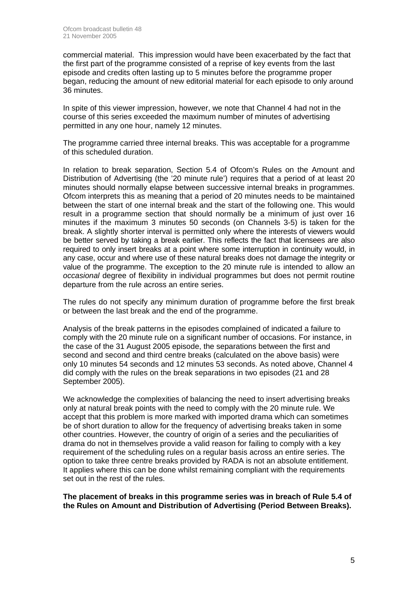commercial material. This impression would have been exacerbated by the fact that the first part of the programme consisted of a reprise of key events from the last episode and credits often lasting up to 5 minutes before the programme proper began, reducing the amount of new editorial material for each episode to only around 36 minutes.

In spite of this viewer impression, however, we note that Channel 4 had not in the course of this series exceeded the maximum number of minutes of advertising permitted in any one hour, namely 12 minutes.

The programme carried three internal breaks. This was acceptable for a programme of this scheduled duration.

In relation to break separation, Section 5.4 of Ofcom's Rules on the Amount and Distribution of Advertising (the '20 minute rule') requires that a period of at least 20 minutes should normally elapse between successive internal breaks in programmes. Ofcom interprets this as meaning that a period of 20 minutes needs to be maintained between the start of one internal break and the start of the following one. This would result in a programme section that should normally be a minimum of just over 16 minutes if the maximum 3 minutes 50 seconds (on Channels 3-5) is taken for the break. A slightly shorter interval is permitted only where the interests of viewers would be better served by taking a break earlier. This reflects the fact that licensees are also required to only insert breaks at a point where some interruption in continuity would, in any case, occur and where use of these natural breaks does not damage the integrity or value of the programme. The exception to the 20 minute rule is intended to allow an *occasional* degree of flexibility in individual programmes but does not permit routine departure from the rule across an entire series.

The rules do not specify any minimum duration of programme before the first break or between the last break and the end of the programme.

Analysis of the break patterns in the episodes complained of indicated a failure to comply with the 20 minute rule on a significant number of occasions. For instance, in the case of the 31 August 2005 episode, the separations between the first and second and second and third centre breaks (calculated on the above basis) were only 10 minutes 54 seconds and 12 minutes 53 seconds. As noted above, Channel 4 did comply with the rules on the break separations in two episodes (21 and 28 September 2005).

We acknowledge the complexities of balancing the need to insert advertising breaks only at natural break points with the need to comply with the 20 minute rule. We accept that this problem is more marked with imported drama which can sometimes be of short duration to allow for the frequency of advertising breaks taken in some other countries. However, the country of origin of a series and the peculiarities of drama do not in themselves provide a valid reason for failing to comply with a key requirement of the scheduling rules on a regular basis across an entire series. The option to take three centre breaks provided by RADA is not an absolute entitlement. It applies where this can be done whilst remaining compliant with the requirements set out in the rest of the rules.

**The placement of breaks in this programme series was in breach of Rule 5.4 of the Rules on Amount and Distribution of Advertising (Period Between Breaks).**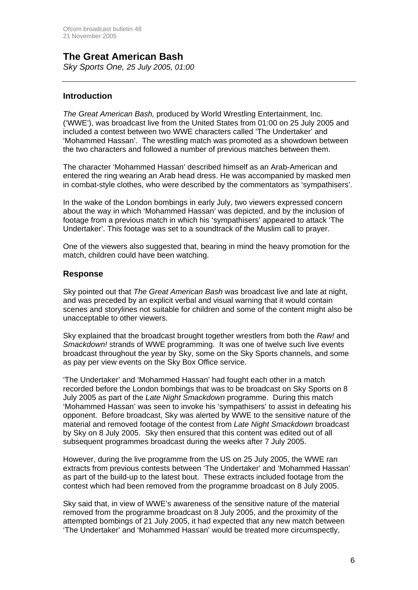# **The Great American Bash**  *Sky Sports One, 25 July 2005, 01:00*

## **Introduction**

*The Great American Bash,* produced by World Wrestling Entertainment, Inc. ('WWE'), was broadcast live from the United States from 01:00 on 25 July 2005 and included a contest between two WWE characters called 'The Undertaker' and 'Mohammed Hassan'. The wrestling match was promoted as a showdown between the two characters and followed a number of previous matches between them.

The character 'Mohammed Hassan' described himself as an Arab-American and entered the ring wearing an Arab head dress. He was accompanied by masked men in combat-style clothes, who were described by the commentators as 'sympathisers'.

In the wake of the London bombings in early July, two viewers expressed concern about the way in which 'Mohammed Hassan' was depicted, and by the inclusion of footage from a previous match in which his 'sympathisers' appeared to attack 'The Undertaker'. This footage was set to a soundtrack of the Muslim call to prayer.

One of the viewers also suggested that, bearing in mind the heavy promotion for the match, children could have been watching.

#### **Response**

Sky pointed out that *The Great American Bash* was broadcast live and late at night, and was preceded by an explicit verbal and visual warning that it would contain scenes and storylines not suitable for children and some of the content might also be unacceptable to other viewers.

Sky explained that the broadcast brought together wrestlers from both the *Raw!* and *Smackdown!* strands of WWE programming. It was one of twelve such live events broadcast throughout the year by Sky, some on the Sky Sports channels, and some as pay per view events on the Sky Box Office service.

'The Undertaker' and 'Mohammed Hassan' had fought each other in a match recorded before the London bombings that was to be broadcast on Sky Sports on 8 July 2005 as part of the *Late Night Smackdown* programme. During this match 'Mohammed Hassan' was seen to invoke his 'sympathisers' to assist in defeating his opponent. Before broadcast, Sky was alerted by WWE to the sensitive nature of the material and removed footage of the contest from *Late Night Smackdown* broadcast by Sky on 8 July 2005. Sky then ensured that this content was edited out of all subsequent programmes broadcast during the weeks after 7 July 2005.

However, during the live programme from the US on 25 July 2005, the WWE ran extracts from previous contests between 'The Undertaker' and 'Mohammed Hassan' as part of the build-up to the latest bout. These extracts included footage from the contest which had been removed from the programme broadcast on 8 July 2005.

Sky said that, in view of WWE's awareness of the sensitive nature of the material removed from the programme broadcast on 8 July 2005, and the proximity of the attempted bombings of 21 July 2005, it had expected that any new match between 'The Undertaker' and 'Mohammed Hassan' would be treated more circumspectly,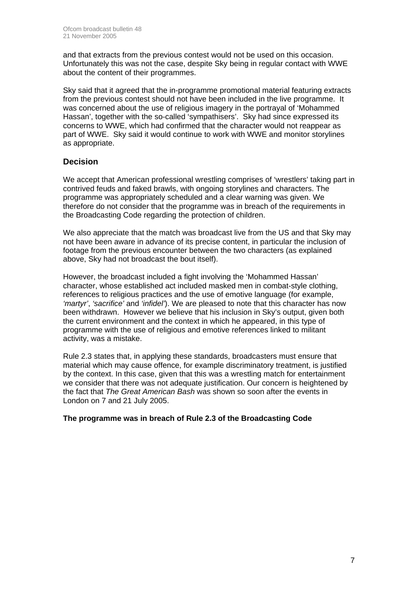and that extracts from the previous contest would not be used on this occasion. Unfortunately this was not the case, despite Sky being in regular contact with WWE about the content of their programmes.

Sky said that it agreed that the in-programme promotional material featuring extracts from the previous contest should not have been included in the live programme. It was concerned about the use of religious imagery in the portrayal of 'Mohammed Hassan', together with the so-called 'sympathisers'. Sky had since expressed its concerns to WWE, which had confirmed that the character would not reappear as part of WWE. Sky said it would continue to work with WWE and monitor storylines as appropriate.

# **Decision**

We accept that American professional wrestling comprises of 'wrestlers' taking part in contrived feuds and faked brawls, with ongoing storylines and characters. The programme was appropriately scheduled and a clear warning was given. We therefore do not consider that the programme was in breach of the requirements in the Broadcasting Code regarding the protection of children.

We also appreciate that the match was broadcast live from the US and that Sky may not have been aware in advance of its precise content, in particular the inclusion of footage from the previous encounter between the two characters (as explained above, Sky had not broadcast the bout itself).

However, the broadcast included a fight involving the 'Mohammed Hassan' character, whose established act included masked men in combat-style clothing, references to religious practices and the use of emotive language (for example, *'martyr'*, *'sacrifice'* and *'infidel'*). We are pleased to note that this character has now been withdrawn. However we believe that his inclusion in Sky's output, given both the current environment and the context in which he appeared, in this type of programme with the use of religious and emotive references linked to militant activity, was a mistake.

Rule 2.3 states that, in applying these standards, broadcasters must ensure that material which may cause offence, for example discriminatory treatment, is justified by the context. In this case, given that this was a wrestling match for entertainment we consider that there was not adequate justification. Our concern is heightened by the fact that *The Great American Bash* was shown so soon after the events in London on 7 and 21 July 2005.

#### **The programme was in breach of Rule 2.3 of the Broadcasting Code**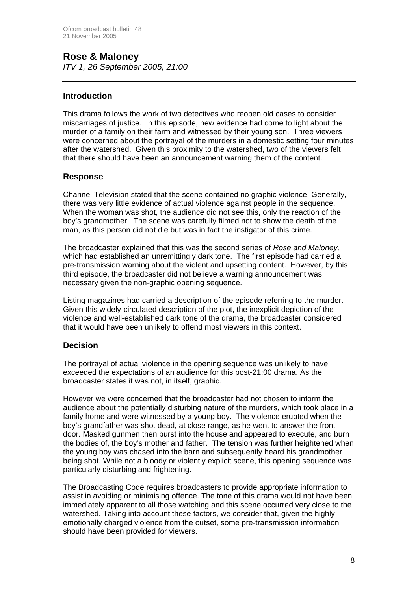#### **Rose & Maloney**  *ITV 1, 26 September 2005, 21:00*

## **Introduction**

This drama follows the work of two detectives who reopen old cases to consider miscarriages of justice. In this episode, new evidence had come to light about the murder of a family on their farm and witnessed by their young son. Three viewers were concerned about the portrayal of the murders in a domestic setting four minutes after the watershed. Given this proximity to the watershed, two of the viewers felt that there should have been an announcement warning them of the content.

#### **Response**

Channel Television stated that the scene contained no graphic violence. Generally, there was very little evidence of actual violence against people in the sequence. When the woman was shot, the audience did not see this, only the reaction of the boy's grandmother. The scene was carefully filmed not to show the death of the man, as this person did not die but was in fact the instigator of this crime.

The broadcaster explained that this was the second series of *Rose and Maloney,*  which had established an unremittingly dark tone. The first episode had carried a pre-transmission warning about the violent and upsetting content. However, by this third episode, the broadcaster did not believe a warning announcement was necessary given the non-graphic opening sequence.

Listing magazines had carried a description of the episode referring to the murder. Given this widely-circulated description of the plot, the inexplicit depiction of the violence and well-established dark tone of the drama, the broadcaster considered that it would have been unlikely to offend most viewers in this context.

# **Decision**

The portrayal of actual violence in the opening sequence was unlikely to have exceeded the expectations of an audience for this post-21:00 drama. As the broadcaster states it was not, in itself, graphic.

However we were concerned that the broadcaster had not chosen to inform the audience about the potentially disturbing nature of the murders, which took place in a family home and were witnessed by a young boy. The violence erupted when the boy's grandfather was shot dead, at close range, as he went to answer the front door. Masked gunmen then burst into the house and appeared to execute, and burn the bodies of, the boy's mother and father. The tension was further heightened when the young boy was chased into the barn and subsequently heard his grandmother being shot. While not a bloody or violently explicit scene, this opening sequence was particularly disturbing and frightening.

The Broadcasting Code requires broadcasters to provide appropriate information to assist in avoiding or minimising offence. The tone of this drama would not have been immediately apparent to all those watching and this scene occurred very close to the watershed. Taking into account these factors, we consider that, given the highly emotionally charged violence from the outset, some pre-transmission information should have been provided for viewers.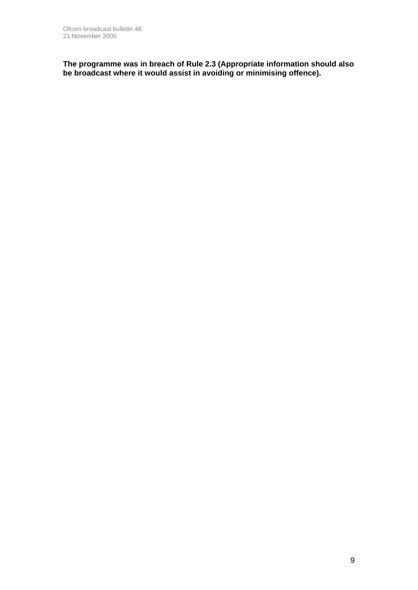**The programme was in breach of Rule 2.3 (Appropriate information should also be broadcast where it would assist in avoiding or minimising offence).**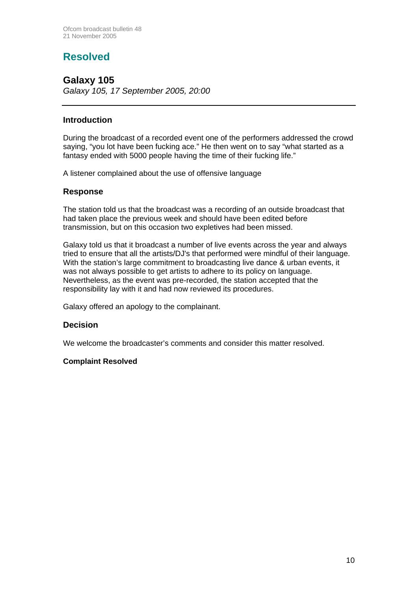# **Resolved**

# **Galaxy 105**  *Galaxy 105, 17 September 2005, 20:00*

# **Introduction**

During the broadcast of a recorded event one of the performers addressed the crowd saying, "you lot have been fucking ace." He then went on to say "what started as a fantasy ended with 5000 people having the time of their fucking life."

A listener complained about the use of offensive language

#### **Response**

The station told us that the broadcast was a recording of an outside broadcast that had taken place the previous week and should have been edited before transmission, but on this occasion two expletives had been missed.

Galaxy told us that it broadcast a number of live events across the year and always tried to ensure that all the artists/DJ's that performed were mindful of their language. With the station's large commitment to broadcasting live dance & urban events, it was not always possible to get artists to adhere to its policy on language. Nevertheless, as the event was pre-recorded, the station accepted that the responsibility lay with it and had now reviewed its procedures.

Galaxy offered an apology to the complainant.

#### **Decision**

We welcome the broadcaster's comments and consider this matter resolved.

#### **Complaint Resolved**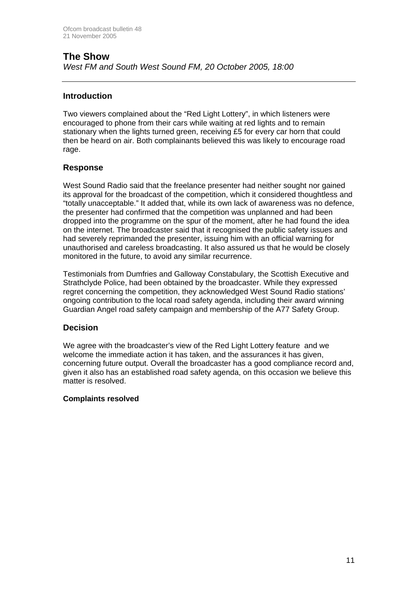# **The Show**  *West FM and South West Sound FM, 20 October 2005, 18:00*

# **Introduction**

Two viewers complained about the "Red Light Lottery", in which listeners were encouraged to phone from their cars while waiting at red lights and to remain stationary when the lights turned green, receiving £5 for every car horn that could then be heard on air. Both complainants believed this was likely to encourage road rage.

#### **Response**

West Sound Radio said that the freelance presenter had neither sought nor gained its approval for the broadcast of the competition, which it considered thoughtless and "totally unacceptable." It added that, while its own lack of awareness was no defence, the presenter had confirmed that the competition was unplanned and had been dropped into the programme on the spur of the moment, after he had found the idea on the internet. The broadcaster said that it recognised the public safety issues and had severely reprimanded the presenter, issuing him with an official warning for unauthorised and careless broadcasting. It also assured us that he would be closely monitored in the future, to avoid any similar recurrence.

Testimonials from Dumfries and Galloway Constabulary, the Scottish Executive and Strathclyde Police, had been obtained by the broadcaster. While they expressed regret concerning the competition, they acknowledged West Sound Radio stations' ongoing contribution to the local road safety agenda, including their award winning Guardian Angel road safety campaign and membership of the A77 Safety Group.

#### **Decision**

We agree with the broadcaster's view of the Red Light Lottery feature and we welcome the immediate action it has taken, and the assurances it has given, concerning future output. Overall the broadcaster has a good compliance record and, given it also has an established road safety agenda, on this occasion we believe this matter is resolved.

#### **Complaints resolved**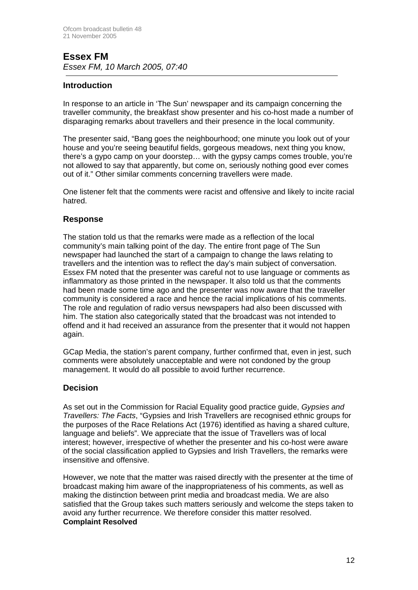# **Essex FM**  *Essex FM, 10 March 2005, 07:40*

# **Introduction**

In response to an article in 'The Sun' newspaper and its campaign concerning the traveller community, the breakfast show presenter and his co-host made a number of disparaging remarks about travellers and their presence in the local community.

The presenter said, "Bang goes the neighbourhood; one minute you look out of your house and you're seeing beautiful fields, gorgeous meadows, next thing you know, there's a gypo camp on your doorstep… with the gypsy camps comes trouble, you're not allowed to say that apparently, but come on, seriously nothing good ever comes out of it." Other similar comments concerning travellers were made.

One listener felt that the comments were racist and offensive and likely to incite racial hatred.

# **Response**

The station told us that the remarks were made as a reflection of the local community's main talking point of the day. The entire front page of The Sun newspaper had launched the start of a campaign to change the laws relating to travellers and the intention was to reflect the day's main subject of conversation. Essex FM noted that the presenter was careful not to use language or comments as inflammatory as those printed in the newspaper. It also told us that the comments had been made some time ago and the presenter was now aware that the traveller community is considered a race and hence the racial implications of his comments. The role and regulation of radio versus newspapers had also been discussed with him. The station also categorically stated that the broadcast was not intended to offend and it had received an assurance from the presenter that it would not happen again.

GCap Media, the station's parent company, further confirmed that, even in jest, such comments were absolutely unacceptable and were not condoned by the group management. It would do all possible to avoid further recurrence.

# **Decision**

As set out in the Commission for Racial Equality good practice guide, *Gypsies and Travellers: The Facts*, "Gypsies and Irish Travellers are recognised ethnic groups for the purposes of the Race Relations Act (1976) identified as having a shared culture, language and beliefs". We appreciate that the issue of Travellers was of local interest; however, irrespective of whether the presenter and his co-host were aware of the social classification applied to Gypsies and Irish Travellers, the remarks were insensitive and offensive.

However, we note that the matter was raised directly with the presenter at the time of broadcast making him aware of the inappropriateness of his comments, as well as making the distinction between print media and broadcast media. We are also satisfied that the Group takes such matters seriously and welcome the steps taken to avoid any further recurrence. We therefore consider this matter resolved. **Complaint Resolved**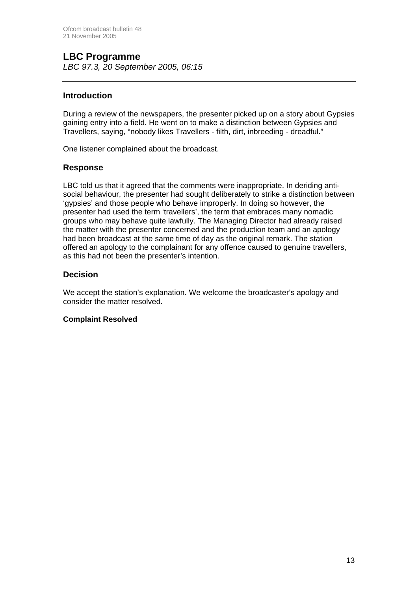# **LBC Programme**

*LBC 97.3, 20 September 2005, 06:15*

## **Introduction**

During a review of the newspapers, the presenter picked up on a story about Gypsies gaining entry into a field. He went on to make a distinction between Gypsies and Travellers, saying, "nobody likes Travellers - filth, dirt, inbreeding - dreadful."

One listener complained about the broadcast.

#### **Response**

LBC told us that it agreed that the comments were inappropriate. In deriding antisocial behaviour, the presenter had sought deliberately to strike a distinction between 'gypsies' and those people who behave improperly. In doing so however, the presenter had used the term 'travellers', the term that embraces many nomadic groups who may behave quite lawfully. The Managing Director had already raised the matter with the presenter concerned and the production team and an apology had been broadcast at the same time of day as the original remark. The station offered an apology to the complainant for any offence caused to genuine travellers, as this had not been the presenter's intention.

# **Decision**

We accept the station's explanation. We welcome the broadcaster's apology and consider the matter resolved.

#### **Complaint Resolved**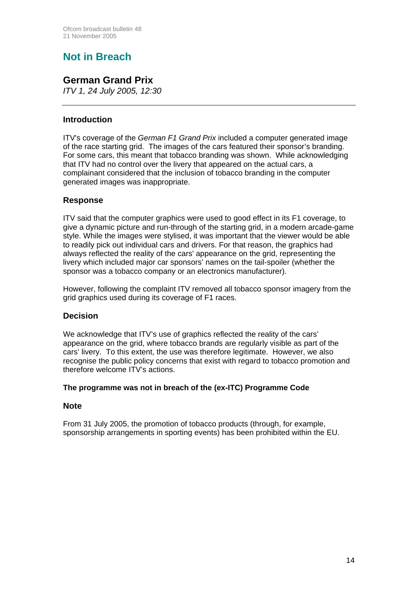# **Not in Breach**

# **German Grand Prix**

*ITV 1, 24 July 2005, 12:30*

# **Introduction**

ITV's coverage of the *German F1 Grand Prix* included a computer generated image of the race starting grid. The images of the cars featured their sponsor's branding. For some cars, this meant that tobacco branding was shown. While acknowledging that ITV had no control over the livery that appeared on the actual cars, a complainant considered that the inclusion of tobacco branding in the computer generated images was inappropriate.

# **Response**

ITV said that the computer graphics were used to good effect in its F1 coverage, to give a dynamic picture and run-through of the starting grid, in a modern arcade-game style. While the images were stylised, it was important that the viewer would be able to readily pick out individual cars and drivers. For that reason, the graphics had always reflected the reality of the cars' appearance on the grid, representing the livery which included major car sponsors' names on the tail-spoiler (whether the sponsor was a tobacco company or an electronics manufacturer).

However, following the complaint ITV removed all tobacco sponsor imagery from the grid graphics used during its coverage of F1 races.

# **Decision**

We acknowledge that ITV's use of graphics reflected the reality of the cars' appearance on the grid, where tobacco brands are regularly visible as part of the cars' livery. To this extent, the use was therefore legitimate. However, we also recognise the public policy concerns that exist with regard to tobacco promotion and therefore welcome ITV's actions.

#### **The programme was not in breach of the (ex-ITC) Programme Code**

# **Note**

From 31 July 2005, the promotion of tobacco products (through, for example, sponsorship arrangements in sporting events) has been prohibited within the EU.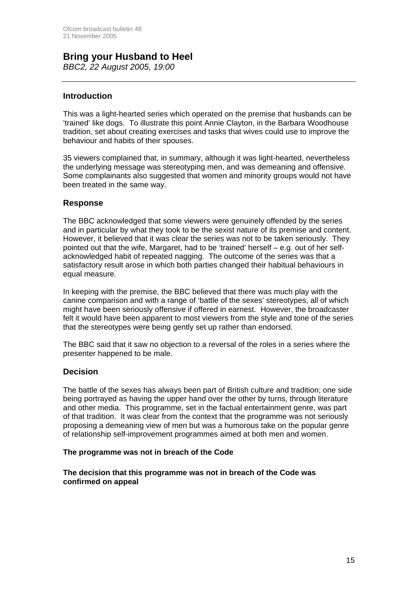# **Bring your Husband to Heel**

*BBC2, 22 August 2005, 19:00*

# **Introduction**

This was a light-hearted series which operated on the premise that husbands can be 'trained' like dogs. To illustrate this point Annie Clayton, in the Barbara Woodhouse tradition, set about creating exercises and tasks that wives could use to improve the behaviour and habits of their spouses.

35 viewers complained that, in summary, although it was light-hearted, nevertheless the underlying message was stereotyping men, and was demeaning and offensive. Some complainants also suggested that women and minority groups would not have been treated in the same way.

# **Response**

The BBC acknowledged that some viewers were genuinely offended by the series and in particular by what they took to be the sexist nature of its premise and content. However, it believed that it was clear the series was not to be taken seriously. They pointed out that the wife, Margaret, had to be 'trained' herself – e.g. out of her selfacknowledged habit of repeated nagging. The outcome of the series was that a satisfactory result arose in which both parties changed their habitual behaviours in equal measure.

In keeping with the premise, the BBC believed that there was much play with the canine comparison and with a range of 'battle of the sexes' stereotypes, all of which might have been seriously offensive if offered in earnest. However, the broadcaster felt it would have been apparent to most viewers from the style and tone of the series that the stereotypes were being gently set up rather than endorsed.

The BBC said that it saw no objection to a reversal of the roles in a series where the presenter happened to be male.

# **Decision**

The battle of the sexes has always been part of British culture and tradition; one side being portrayed as having the upper hand over the other by turns, through literature and other media. This programme, set in the factual entertainment genre, was part of that tradition. It was clear from the context that the programme was not seriously proposing a demeaning view of men but was a humorous take on the popular genre of relationship self-improvement programmes aimed at both men and women.

#### **The programme was not in breach of the Code**

**The decision that this programme was not in breach of the Code was confirmed on appeal**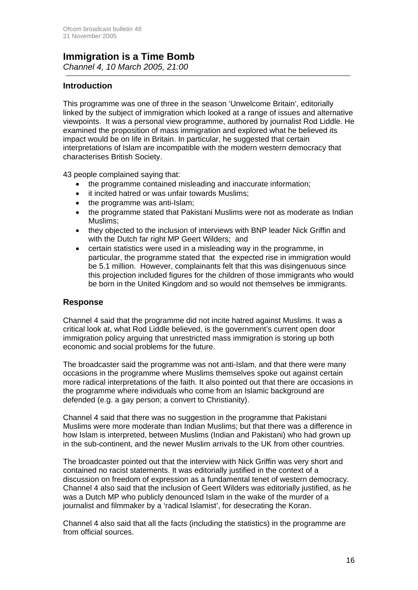## **Immigration is a Time Bomb**  *Channel 4, 10 March 2005, 21:00*

**Introduction**

This programme was one of three in the season 'Unwelcome Britain', editorially linked by the subject of immigration which looked at a range of issues and alternative viewpoints. It was a personal view programme, authored by journalist Rod Liddle. He examined the proposition of mass immigration and explored what he believed its impact would be on life in Britain. In particular, he suggested that certain interpretations of Islam are incompatible with the modern western democracy that characterises British Society.

43 people complained saying that:

- the programme contained misleading and inaccurate information;
- it incited hatred or was unfair towards Muslims;
- the programme was anti-Islam;
- the programme stated that Pakistani Muslims were not as moderate as Indian Muslims;
- they objected to the inclusion of interviews with BNP leader Nick Griffin and with the Dutch far right MP Geert Wilders; and
- certain statistics were used in a misleading way in the programme, in particular, the programme stated that the expected rise in immigration would be 5.1 million. However, complainants felt that this was disingenuous since this projection included figures for the children of those immigrants who would be born in the United Kingdom and so would not themselves be immigrants.

# **Response**

Channel 4 said that the programme did not incite hatred against Muslims. It was a critical look at, what Rod Liddle believed, is the government's current open door immigration policy arguing that unrestricted mass immigration is storing up both economic and social problems for the future.

The broadcaster said the programme was not anti-Islam, and that there were many occasions in the programme where Muslims themselves spoke out against certain more radical interpretations of the faith. It also pointed out that there are occasions in the programme where individuals who come from an Islamic background are defended (e.g. a gay person; a convert to Christianity).

Channel 4 said that there was no suggestion in the programme that Pakistani Muslims were more moderate than Indian Muslims; but that there was a difference in how Islam is interpreted, between Muslims (Indian and Pakistani) who had grown up in the sub-continent, and the newer Muslim arrivals to the UK from other countries.

The broadcaster pointed out that the interview with Nick Griffin was very short and contained no racist statements. It was editorially justified in the context of a discussion on freedom of expression as a fundamental tenet of western democracy. Channel 4 also said that the inclusion of Geert Wilders was editorially justified, as he was a Dutch MP who publicly denounced Islam in the wake of the murder of a journalist and filmmaker by a 'radical Islamist', for desecrating the Koran.

Channel 4 also said that all the facts (including the statistics) in the programme are from official sources.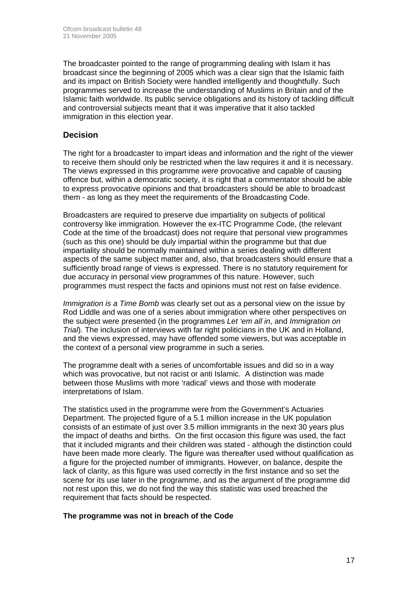The broadcaster pointed to the range of programming dealing with Islam it has broadcast since the beginning of 2005 which was a clear sign that the Islamic faith and its impact on British Society were handled intelligently and thoughtfully. Such programmes served to increase the understanding of Muslims in Britain and of the Islamic faith worldwide. Its public service obligations and its history of tackling difficult and controversial subjects meant that it was imperative that it also tackled immigration in this election year.

# **Decision**

The right for a broadcaster to impart ideas and information and the right of the viewer to receive them should only be restricted when the law requires it and it is necessary. The views expressed in this programme *were* provocative and capable of causing offence but, within a democratic society, it is right that a commentator should be able to express provocative opinions and that broadcasters should be able to broadcast them - as long as they meet the requirements of the Broadcasting Code.

Broadcasters are required to preserve due impartiality on subjects of political controversy like immigration. However the ex-ITC Programme Code, (the relevant Code at the time of the broadcast) does not require that personal view programmes (such as this one) should be duly impartial within the programme but that due impartiality should be normally maintained within a series dealing with different aspects of the same subject matter and, also, that broadcasters should ensure that a sufficiently broad range of views is expressed. There is no statutory requirement for due accuracy in personal view programmes of this nature. However, such programmes must respect the facts and opinions must not rest on false evidence.

*Immigration is a Time Bomb* was clearly set out as a personal view on the issue by Rod Liddle and was one of a series about immigration where other perspectives on the subject were presented (in the programmes *Let 'em all in*, and *Immigration on Trial*). The inclusion of interviews with far right politicians in the UK and in Holland, and the views expressed, may have offended some viewers, but was acceptable in the context of a personal view programme in such a series.

The programme dealt with a series of uncomfortable issues and did so in a way which was provocative, but not racist or anti Islamic. A distinction was made between those Muslims with more 'radical' views and those with moderate interpretations of Islam.

The statistics used in the programme were from the Government's Actuaries Department. The projected figure of a 5.1 million increase in the UK population consists of an estimate of just over 3.5 million immigrants in the next 30 years plus the impact of deaths and births. On the first occasion this figure was used, the fact that it included migrants and their children was stated - although the distinction could have been made more clearly. The figure was thereafter used without qualification as a figure for the projected number of immigrants. However, on balance, despite the lack of clarity, as this figure was used correctly in the first instance and so set the scene for its use later in the programme, and as the argument of the programme did not rest upon this, we do not find the way this statistic was used breached the requirement that facts should be respected.

#### **The programme was not in breach of the Code**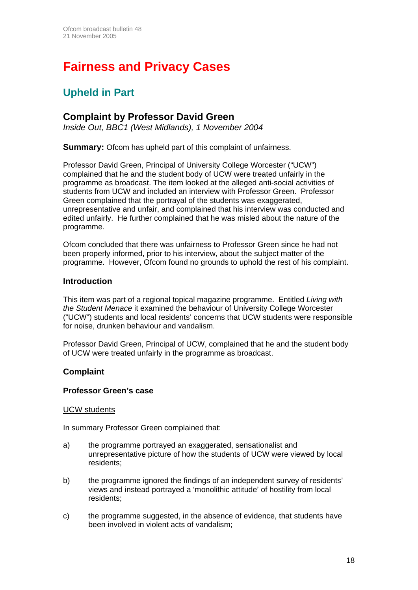# **Fairness and Privacy Cases**

# **Upheld in Part**

# **Complaint by Professor David Green**

*Inside Out, BBC1 (West Midlands), 1 November 2004* 

**Summary:** Ofcom has upheld part of this complaint of unfairness.

Professor David Green, Principal of University College Worcester ("UCW") complained that he and the student body of UCW were treated unfairly in the programme as broadcast. The item looked at the alleged anti-social activities of students from UCW and included an interview with Professor Green. Professor Green complained that the portraval of the students was exaggerated. unrepresentative and unfair, and complained that his interview was conducted and edited unfairly. He further complained that he was misled about the nature of the programme.

Ofcom concluded that there was unfairness to Professor Green since he had not been properly informed, prior to his interview, about the subject matter of the programme. However, Ofcom found no grounds to uphold the rest of his complaint.

#### **Introduction**

This item was part of a regional topical magazine programme. Entitled *Living with the Student Menace* it examined the behaviour of University College Worcester ("UCW") students and local residents' concerns that UCW students were responsible for noise, drunken behaviour and vandalism.

Professor David Green, Principal of UCW, complained that he and the student body of UCW were treated unfairly in the programme as broadcast.

# **Complaint**

#### **Professor Green's case**

#### UCW students

In summary Professor Green complained that:

- a) the programme portrayed an exaggerated, sensationalist and unrepresentative picture of how the students of UCW were viewed by local residents;
- b) the programme ignored the findings of an independent survey of residents' views and instead portrayed a 'monolithic attitude' of hostility from local residents;
- c) the programme suggested, in the absence of evidence, that students have been involved in violent acts of vandalism;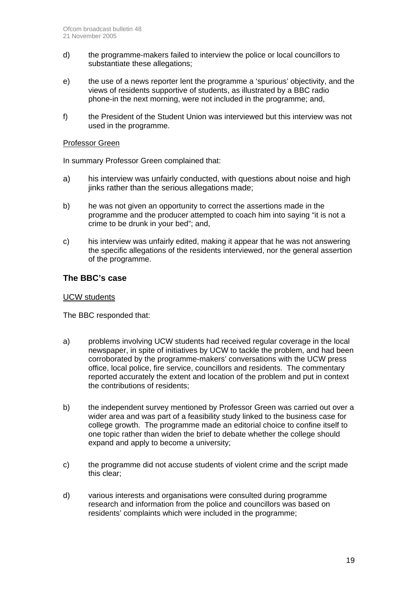- d) the programme-makers failed to interview the police or local councillors to substantiate these allegations;
- e) the use of a news reporter lent the programme a 'spurious' objectivity, and the views of residents supportive of students, as illustrated by a BBC radio phone-in the next morning, were not included in the programme; and,
- f) the President of the Student Union was interviewed but this interview was not used in the programme.

#### Professor Green

In summary Professor Green complained that:

- a) his interview was unfairly conducted, with questions about noise and high jinks rather than the serious allegations made;
- b) he was not given an opportunity to correct the assertions made in the programme and the producer attempted to coach him into saying "it is not a crime to be drunk in your bed"; and,
- c) his interview was unfairly edited, making it appear that he was not answering the specific allegations of the residents interviewed, nor the general assertion of the programme.

#### **The BBC's case**

#### UCW students

The BBC responded that:

- a) problems involving UCW students had received regular coverage in the local newspaper, in spite of initiatives by UCW to tackle the problem, and had been corroborated by the programme-makers' conversations with the UCW press office, local police, fire service, councillors and residents. The commentary reported accurately the extent and location of the problem and put in context the contributions of residents;
- b) the independent survey mentioned by Professor Green was carried out over a wider area and was part of a feasibility study linked to the business case for college growth. The programme made an editorial choice to confine itself to one topic rather than widen the brief to debate whether the college should expand and apply to become a university;
- c) the programme did not accuse students of violent crime and the script made this clear;
- d) various interests and organisations were consulted during programme research and information from the police and councillors was based on residents' complaints which were included in the programme;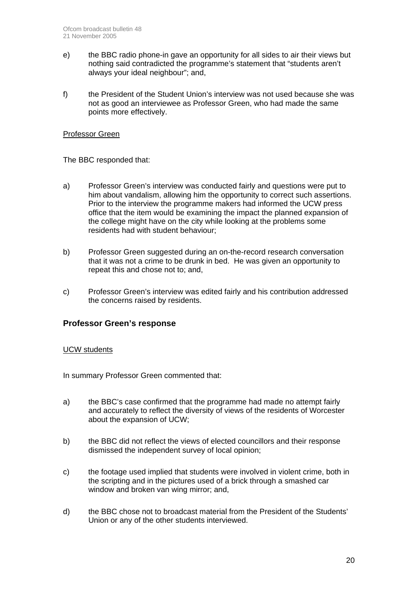- e) the BBC radio phone-in gave an opportunity for all sides to air their views but nothing said contradicted the programme's statement that "students aren't always your ideal neighbour"; and,
- f) the President of the Student Union's interview was not used because she was not as good an interviewee as Professor Green, who had made the same points more effectively.

#### Professor Green

The BBC responded that:

- a) Professor Green's interview was conducted fairly and questions were put to him about vandalism, allowing him the opportunity to correct such assertions. Prior to the interview the programme makers had informed the UCW press office that the item would be examining the impact the planned expansion of the college might have on the city while looking at the problems some residents had with student behaviour;
- b) Professor Green suggested during an on-the-record research conversation that it was not a crime to be drunk in bed. He was given an opportunity to repeat this and chose not to; and,
- c) Professor Green's interview was edited fairly and his contribution addressed the concerns raised by residents.

#### **Professor Green's response**

#### UCW students

In summary Professor Green commented that:

- a) the BBC's case confirmed that the programme had made no attempt fairly and accurately to reflect the diversity of views of the residents of Worcester about the expansion of UCW;
- b) the BBC did not reflect the views of elected councillors and their response dismissed the independent survey of local opinion;
- c) the footage used implied that students were involved in violent crime, both in the scripting and in the pictures used of a brick through a smashed car window and broken van wing mirror; and,
- d) the BBC chose not to broadcast material from the President of the Students' Union or any of the other students interviewed.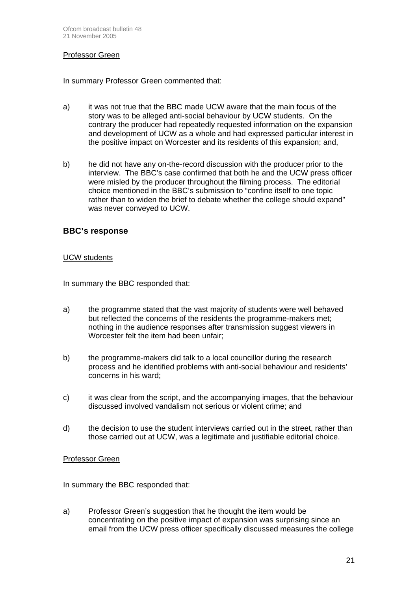#### Professor Green

In summary Professor Green commented that:

- a) it was not true that the BBC made UCW aware that the main focus of the story was to be alleged anti-social behaviour by UCW students. On the contrary the producer had repeatedly requested information on the expansion and development of UCW as a whole and had expressed particular interest in the positive impact on Worcester and its residents of this expansion; and,
- b) he did not have any on-the-record discussion with the producer prior to the interview. The BBC's case confirmed that both he and the UCW press officer were misled by the producer throughout the filming process. The editorial choice mentioned in the BBC's submission to "confine itself to one topic rather than to widen the brief to debate whether the college should expand" was never conveyed to UCW.

#### **BBC's response**

#### UCW students

In summary the BBC responded that:

- a) the programme stated that the vast majority of students were well behaved but reflected the concerns of the residents the programme-makers met; nothing in the audience responses after transmission suggest viewers in Worcester felt the item had been unfair;
- b) the programme-makers did talk to a local councillor during the research process and he identified problems with anti-social behaviour and residents' concerns in his ward;
- c) it was clear from the script, and the accompanying images, that the behaviour discussed involved vandalism not serious or violent crime; and
- d) the decision to use the student interviews carried out in the street, rather than those carried out at UCW, was a legitimate and justifiable editorial choice.

#### Professor Green

In summary the BBC responded that:

a) Professor Green's suggestion that he thought the item would be concentrating on the positive impact of expansion was surprising since an email from the UCW press officer specifically discussed measures the college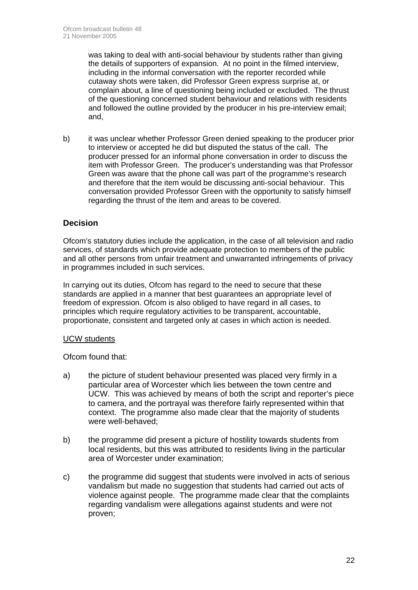was taking to deal with anti-social behaviour by students rather than giving the details of supporters of expansion. At no point in the filmed interview, including in the informal conversation with the reporter recorded while cutaway shots were taken, did Professor Green express surprise at, or complain about, a line of questioning being included or excluded. The thrust of the questioning concerned student behaviour and relations with residents and followed the outline provided by the producer in his pre-interview email; and,

b) it was unclear whether Professor Green denied speaking to the producer prior to interview or accepted he did but disputed the status of the call. The producer pressed for an informal phone conversation in order to discuss the item with Professor Green. The producer's understanding was that Professor Green was aware that the phone call was part of the programme's research and therefore that the item would be discussing anti-social behaviour. This conversation provided Professor Green with the opportunity to satisfy himself regarding the thrust of the item and areas to be covered.

# **Decision**

Ofcom's statutory duties include the application, in the case of all television and radio services, of standards which provide adequate protection to members of the public and all other persons from unfair treatment and unwarranted infringements of privacy in programmes included in such services.

In carrying out its duties, Ofcom has regard to the need to secure that these standards are applied in a manner that best guarantees an appropriate level of freedom of expression. Ofcom is also obliged to have regard in all cases, to principles which require regulatory activities to be transparent, accountable, proportionate, consistent and targeted only at cases in which action is needed.

#### UCW students

Ofcom found that:

- a) the picture of student behaviour presented was placed very firmly in a particular area of Worcester which lies between the town centre and UCW. This was achieved by means of both the script and reporter's piece to camera, and the portrayal was therefore fairly represented within that context. The programme also made clear that the majority of students were well-behaved;
- b) the programme did present a picture of hostility towards students from local residents, but this was attributed to residents living in the particular area of Worcester under examination;
- c) the programme did suggest that students were involved in acts of serious vandalism but made no suggestion that students had carried out acts of violence against people. The programme made clear that the complaints regarding vandalism were allegations against students and were not proven;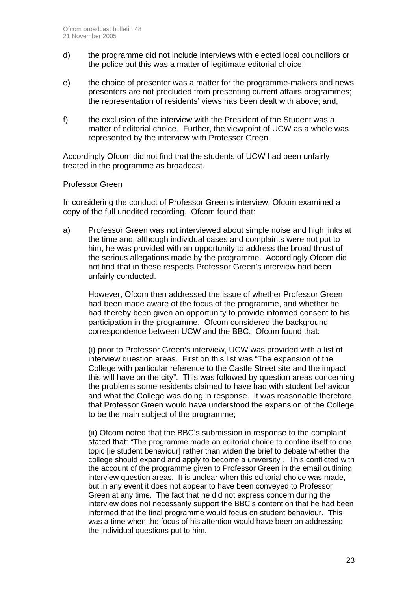- d) the programme did not include interviews with elected local councillors or the police but this was a matter of legitimate editorial choice;
- e) the choice of presenter was a matter for the programme-makers and news presenters are not precluded from presenting current affairs programmes; the representation of residents' views has been dealt with above; and,
- f) the exclusion of the interview with the President of the Student was a matter of editorial choice. Further, the viewpoint of UCW as a whole was represented by the interview with Professor Green.

Accordingly Ofcom did not find that the students of UCW had been unfairly treated in the programme as broadcast.

#### Professor Green

In considering the conduct of Professor Green's interview, Ofcom examined a copy of the full unedited recording. Ofcom found that:

a) Professor Green was not interviewed about simple noise and high jinks at the time and, although individual cases and complaints were not put to him, he was provided with an opportunity to address the broad thrust of the serious allegations made by the programme. Accordingly Ofcom did not find that in these respects Professor Green's interview had been unfairly conducted.

However, Ofcom then addressed the issue of whether Professor Green had been made aware of the focus of the programme, and whether he had thereby been given an opportunity to provide informed consent to his participation in the programme. Of com considered the background correspondence between UCW and the BBC. Ofcom found that:

(i) prior to Professor Green's interview, UCW was provided with a list of interview question areas. First on this list was "The expansion of the College with particular reference to the Castle Street site and the impact this will have on the city". This was followed by question areas concerning the problems some residents claimed to have had with student behaviour and what the College was doing in response. It was reasonable therefore, that Professor Green would have understood the expansion of the College to be the main subject of the programme;

(ii) Ofcom noted that the BBC's submission in response to the complaint stated that: "The programme made an editorial choice to confine itself to one topic [ie student behaviour] rather than widen the brief to debate whether the college should expand and apply to become a university". This conflicted with the account of the programme given to Professor Green in the email outlining interview question areas. It is unclear when this editorial choice was made, but in any event it does not appear to have been conveyed to Professor Green at any time. The fact that he did not express concern during the interview does not necessarily support the BBC's contention that he had been informed that the final programme would focus on student behaviour. This was a time when the focus of his attention would have been on addressing the individual questions put to him.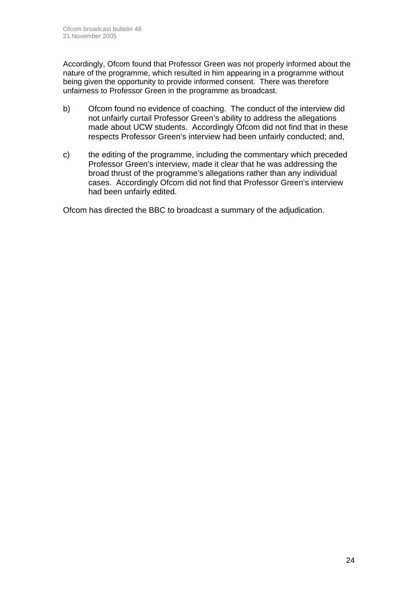Accordingly, Ofcom found that Professor Green was not properly informed about the nature of the programme, which resulted in him appearing in a programme without being given the opportunity to provide informed consent. There was therefore unfairness to Professor Green in the programme as broadcast.

- b) Ofcom found no evidence of coaching. The conduct of the interview did not unfairly curtail Professor Green's ability to address the allegations made about UCW students. Accordingly Ofcom did not find that in these respects Professor Green's interview had been unfairly conducted; and,
- c) the editing of the programme, including the commentary which preceded Professor Green's interview, made it clear that he was addressing the broad thrust of the programme's allegations rather than any individual cases. Accordingly Ofcom did not find that Professor Green's interview had been unfairly edited.

Ofcom has directed the BBC to broadcast a summary of the adjudication.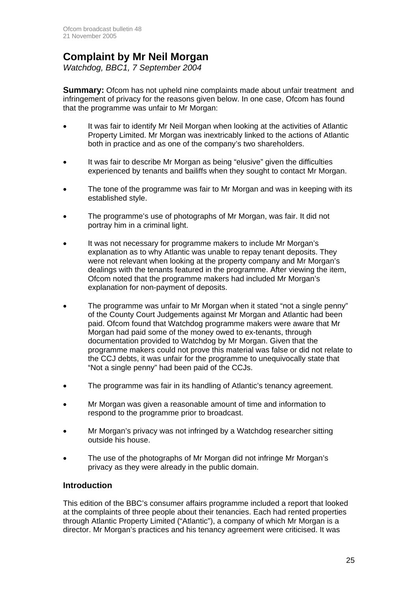# **Complaint by Mr Neil Morgan**

*Watchdog, BBC1, 7 September 2004* 

**Summary:** Ofcom has not upheld nine complaints made about unfair treatment and infringement of privacy for the reasons given below. In one case, Ofcom has found that the programme was unfair to Mr Morgan:

- It was fair to identify Mr Neil Morgan when looking at the activities of Atlantic Property Limited. Mr Morgan was inextricably linked to the actions of Atlantic both in practice and as one of the company's two shareholders.
- It was fair to describe Mr Morgan as being "elusive" given the difficulties experienced by tenants and bailiffs when they sought to contact Mr Morgan.
- The tone of the programme was fair to Mr Morgan and was in keeping with its established style.
- The programme's use of photographs of Mr Morgan, was fair. It did not portray him in a criminal light.
- It was not necessary for programme makers to include Mr Morgan's explanation as to why Atlantic was unable to repay tenant deposits. They were not relevant when looking at the property company and Mr Morgan's dealings with the tenants featured in the programme. After viewing the item, Ofcom noted that the programme makers had included Mr Morgan's explanation for non-payment of deposits.
- The programme was unfair to Mr Morgan when it stated "not a single penny" of the County Court Judgements against Mr Morgan and Atlantic had been paid. Ofcom found that Watchdog programme makers were aware that Mr Morgan had paid some of the money owed to ex-tenants, through documentation provided to Watchdog by Mr Morgan. Given that the programme makers could not prove this material was false or did not relate to the CCJ debts, it was unfair for the programme to unequivocally state that "Not a single penny" had been paid of the CCJs.
- The programme was fair in its handling of Atlantic's tenancy agreement.
- Mr Morgan was given a reasonable amount of time and information to respond to the programme prior to broadcast.
- Mr Morgan's privacy was not infringed by a Watchdog researcher sitting outside his house.
- The use of the photographs of Mr Morgan did not infringe Mr Morgan's privacy as they were already in the public domain.

#### **Introduction**

This edition of the BBC's consumer affairs programme included a report that looked at the complaints of three people about their tenancies. Each had rented properties through Atlantic Property Limited ("Atlantic"), a company of which Mr Morgan is a director. Mr Morgan's practices and his tenancy agreement were criticised. It was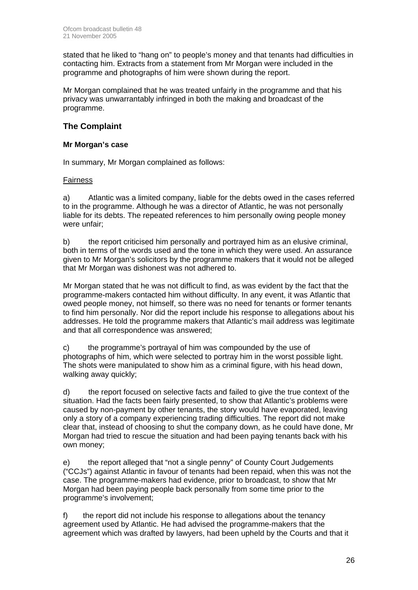stated that he liked to "hang on" to people's money and that tenants had difficulties in contacting him. Extracts from a statement from Mr Morgan were included in the programme and photographs of him were shown during the report.

Mr Morgan complained that he was treated unfairly in the programme and that his privacy was unwarrantably infringed in both the making and broadcast of the programme.

# **The Complaint**

#### **Mr Morgan's case**

In summary, Mr Morgan complained as follows:

#### Fairness

a) Atlantic was a limited company, liable for the debts owed in the cases referred to in the programme. Although he was a director of Atlantic, he was not personally liable for its debts. The repeated references to him personally owing people money were unfair;

b) the report criticised him personally and portrayed him as an elusive criminal, both in terms of the words used and the tone in which they were used. An assurance given to Mr Morgan's solicitors by the programme makers that it would not be alleged that Mr Morgan was dishonest was not adhered to.

Mr Morgan stated that he was not difficult to find, as was evident by the fact that the programme-makers contacted him without difficulty. In any event, it was Atlantic that owed people money, not himself, so there was no need for tenants or former tenants to find him personally. Nor did the report include his response to allegations about his addresses. He told the programme makers that Atlantic's mail address was legitimate and that all correspondence was answered;

c) the programme's portrayal of him was compounded by the use of photographs of him, which were selected to portray him in the worst possible light. The shots were manipulated to show him as a criminal figure, with his head down, walking away quickly;

d) the report focused on selective facts and failed to give the true context of the situation. Had the facts been fairly presented, to show that Atlantic's problems were caused by non-payment by other tenants, the story would have evaporated, leaving only a story of a company experiencing trading difficulties. The report did not make clear that, instead of choosing to shut the company down, as he could have done, Mr Morgan had tried to rescue the situation and had been paying tenants back with his own money;

e) the report alleged that "not a single penny" of County Court Judgements ("CCJs") against Atlantic in favour of tenants had been repaid, when this was not the case. The programme-makers had evidence, prior to broadcast, to show that Mr Morgan had been paying people back personally from some time prior to the programme's involvement;

f) the report did not include his response to allegations about the tenancy agreement used by Atlantic. He had advised the programme-makers that the agreement which was drafted by lawyers, had been upheld by the Courts and that it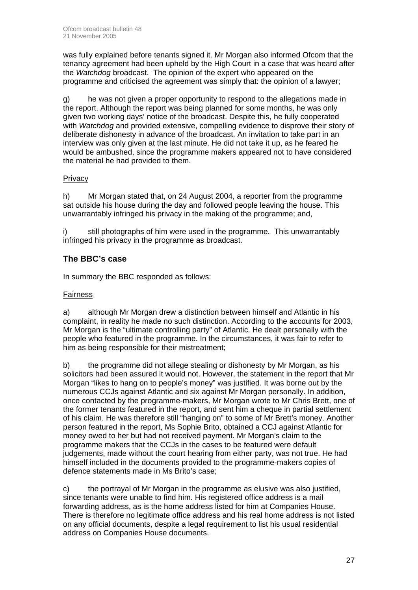was fully explained before tenants signed it. Mr Morgan also informed Ofcom that the tenancy agreement had been upheld by the High Court in a case that was heard after the *Watchdog* broadcast. The opinion of the expert who appeared on the programme and criticised the agreement was simply that: the opinion of a lawyer;

g) he was not given a proper opportunity to respond to the allegations made in the report. Although the report was being planned for some months, he was only given two working days' notice of the broadcast. Despite this, he fully cooperated with *Watchdog* and provided extensive, compelling evidence to disprove their story of deliberate dishonesty in advance of the broadcast. An invitation to take part in an interview was only given at the last minute. He did not take it up, as he feared he would be ambushed, since the programme makers appeared not to have considered the material he had provided to them.

# **Privacy**

h) Mr Morgan stated that, on 24 August 2004, a reporter from the programme sat outside his house during the day and followed people leaving the house. This unwarrantably infringed his privacy in the making of the programme; and,

i) still photographs of him were used in the programme. This unwarrantably infringed his privacy in the programme as broadcast.

# **The BBC's case**

In summary the BBC responded as follows:

#### Fairness

a) although Mr Morgan drew a distinction between himself and Atlantic in his complaint, in reality he made no such distinction. According to the accounts for 2003, Mr Morgan is the "ultimate controlling party" of Atlantic. He dealt personally with the people who featured in the programme. In the circumstances, it was fair to refer to him as being responsible for their mistreatment;

b) the programme did not allege stealing or dishonesty by Mr Morgan, as his solicitors had been assured it would not. However, the statement in the report that Mr Morgan "likes to hang on to people's money" was justified. It was borne out by the numerous CCJs against Atlantic and six against Mr Morgan personally. In addition, once contacted by the programme-makers, Mr Morgan wrote to Mr Chris Brett, one of the former tenants featured in the report, and sent him a cheque in partial settlement of his claim. He was therefore still "hanging on" to some of Mr Brett's money. Another person featured in the report, Ms Sophie Brito, obtained a CCJ against Atlantic for money owed to her but had not received payment. Mr Morgan's claim to the programme makers that the CCJs in the cases to be featured were default judgements, made without the court hearing from either party, was not true. He had himself included in the documents provided to the programme-makers copies of defence statements made in Ms Brito's case;

c) the portrayal of Mr Morgan in the programme as elusive was also justified, since tenants were unable to find him. His registered office address is a mail forwarding address, as is the home address listed for him at Companies House. There is therefore no legitimate office address and his real home address is not listed on any official documents, despite a legal requirement to list his usual residential address on Companies House documents.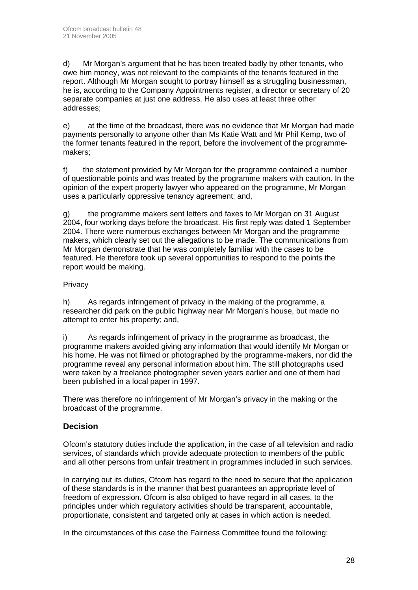d) Mr Morgan's argument that he has been treated badly by other tenants, who owe him money, was not relevant to the complaints of the tenants featured in the report. Although Mr Morgan sought to portray himself as a struggling businessman, he is, according to the Company Appointments register, a director or secretary of 20 separate companies at just one address. He also uses at least three other addresses;

e) at the time of the broadcast, there was no evidence that Mr Morgan had made payments personally to anyone other than Ms Katie Watt and Mr Phil Kemp, two of the former tenants featured in the report, before the involvement of the programmemakers;

f) the statement provided by Mr Morgan for the programme contained a number of questionable points and was treated by the programme makers with caution. In the opinion of the expert property lawyer who appeared on the programme, Mr Morgan uses a particularly oppressive tenancy agreement; and,

g) the programme makers sent letters and faxes to Mr Morgan on 31 August 2004, four working days before the broadcast. His first reply was dated 1 September 2004. There were numerous exchanges between Mr Morgan and the programme makers, which clearly set out the allegations to be made. The communications from Mr Morgan demonstrate that he was completely familiar with the cases to be featured. He therefore took up several opportunities to respond to the points the report would be making.

# **Privacy**

h) As regards infringement of privacy in the making of the programme, a researcher did park on the public highway near Mr Morgan's house, but made no attempt to enter his property; and,

i) As regards infringement of privacy in the programme as broadcast, the programme makers avoided giving any information that would identify Mr Morgan or his home. He was not filmed or photographed by the programme-makers, nor did the programme reveal any personal information about him. The still photographs used were taken by a freelance photographer seven years earlier and one of them had been published in a local paper in 1997.

There was therefore no infringement of Mr Morgan's privacy in the making or the broadcast of the programme.

# **Decision**

Ofcom's statutory duties include the application, in the case of all television and radio services, of standards which provide adequate protection to members of the public and all other persons from unfair treatment in programmes included in such services.

In carrying out its duties, Ofcom has regard to the need to secure that the application of these standards is in the manner that best guarantees an appropriate level of freedom of expression. Ofcom is also obliged to have regard in all cases, to the principles under which regulatory activities should be transparent, accountable, proportionate, consistent and targeted only at cases in which action is needed.

In the circumstances of this case the Fairness Committee found the following: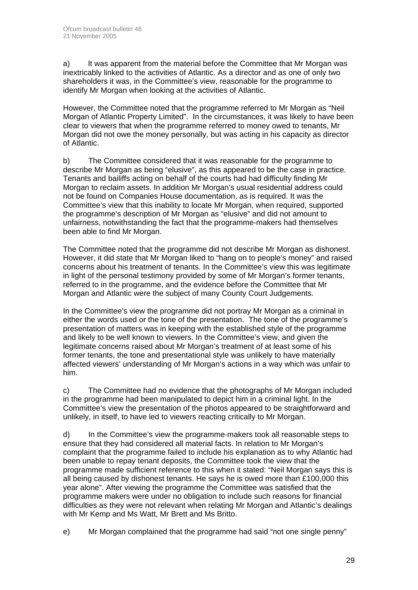a) It was apparent from the material before the Committee that Mr Morgan was inextricably linked to the activities of Atlantic. As a director and as one of only two shareholders it was, in the Committee's view, reasonable for the programme to identify Mr Morgan when looking at the activities of Atlantic.

However, the Committee noted that the programme referred to Mr Morgan as "Neil Morgan of Atlantic Property Limited". In the circumstances, it was likely to have been clear to viewers that when the programme referred to money owed to tenants, Mr Morgan did not owe the money personally, but was acting in his capacity as director of Atlantic.

b) The Committee considered that it was reasonable for the programme to describe Mr Morgan as being "elusive", as this appeared to be the case in practice. Tenants and bailiffs acting on behalf of the courts had had difficulty finding Mr Morgan to reclaim assets. In addition Mr Morgan's usual residential address could not be found on Companies House documentation, as is required. It was the Committee's view that this inability to locate Mr Morgan, when required, supported the programme's description of Mr Morgan as "elusive" and did not amount to unfairness, notwithstanding the fact that the programme-makers had themselves been able to find Mr Morgan.

The Committee noted that the programme did not describe Mr Morgan as dishonest. However, it did state that Mr Morgan liked to "hang on to people's money" and raised concerns about his treatment of tenants. In the Committee's view this was legitimate in light of the personal testimony provided by some of Mr Morgan's former tenants, referred to in the programme, and the evidence before the Committee that Mr Morgan and Atlantic were the subject of many County Court Judgements.

In the Committee's view the programme did not portray Mr Morgan as a criminal in either the words used or the tone of the presentation. The tone of the programme's presentation of matters was in keeping with the established style of the programme and likely to be well known to viewers. In the Committee's view, and given the legitimate concerns raised about Mr Morgan's treatment of at least some of his former tenants, the tone and presentational style was unlikely to have materially affected viewers' understanding of Mr Morgan's actions in a way which was unfair to him.

c) The Committee had no evidence that the photographs of Mr Morgan included in the programme had been manipulated to depict him in a criminal light. In the Committee's view the presentation of the photos appeared to be straightforward and unlikely, in itself, to have led to viewers reacting critically to Mr Morgan.

d) In the Committee's view the programme-makers took all reasonable steps to ensure that they had considered all material facts. In relation to Mr Morgan's complaint that the programme failed to include his explanation as to why Atlantic had been unable to repay tenant deposits, the Committee took the view that the programme made sufficient reference to this when it stated: "Neil Morgan says this is all being caused by dishonest tenants. He says he is owed more than £100,000 this year alone". After viewing the programme the Committee was satisfied that the programme makers were under no obligation to include such reasons for financial difficulties as they were not relevant when relating Mr Morgan and Atlantic's dealings with Mr Kemp and Ms Watt, Mr Brett and Ms Britto.

e) Mr Morgan complained that the programme had said "not one single penny"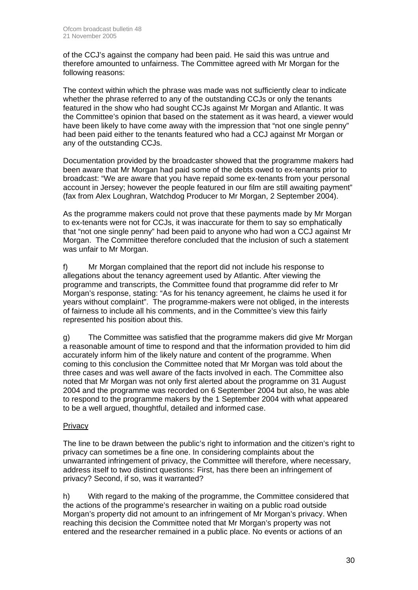of the CCJ's against the company had been paid. He said this was untrue and therefore amounted to unfairness. The Committee agreed with Mr Morgan for the following reasons:

The context within which the phrase was made was not sufficiently clear to indicate whether the phrase referred to any of the outstanding CCJs or only the tenants featured in the show who had sought CCJs against Mr Morgan and Atlantic. It was the Committee's opinion that based on the statement as it was heard, a viewer would have been likely to have come away with the impression that "not one single penny" had been paid either to the tenants featured who had a CCJ against Mr Morgan or any of the outstanding CCJs.

Documentation provided by the broadcaster showed that the programme makers had been aware that Mr Morgan had paid some of the debts owed to ex-tenants prior to broadcast: "We are aware that you have repaid some ex-tenants from your personal account in Jersey; however the people featured in our film are still awaiting payment" (fax from Alex Loughran, Watchdog Producer to Mr Morgan, 2 September 2004).

As the programme makers could not prove that these payments made by Mr Morgan to ex-tenants were not for CCJs, it was inaccurate for them to say so emphatically that "not one single penny" had been paid to anyone who had won a CCJ against Mr Morgan. The Committee therefore concluded that the inclusion of such a statement was unfair to Mr Morgan.

f) Mr Morgan complained that the report did not include his response to allegations about the tenancy agreement used by Atlantic. After viewing the programme and transcripts, the Committee found that programme did refer to Mr Morgan's response, stating: "As for his tenancy agreement, he claims he used it for years without complaint". The programme-makers were not obliged, in the interests of fairness to include all his comments, and in the Committee's view this fairly represented his position about this.

g) The Committee was satisfied that the programme makers did give Mr Morgan a reasonable amount of time to respond and that the information provided to him did accurately inform him of the likely nature and content of the programme. When coming to this conclusion the Committee noted that Mr Morgan was told about the three cases and was well aware of the facts involved in each. The Committee also noted that Mr Morgan was not only first alerted about the programme on 31 August 2004 and the programme was recorded on 6 September 2004 but also, he was able to respond to the programme makers by the 1 September 2004 with what appeared to be a well argued, thoughtful, detailed and informed case.

#### Privacy

The line to be drawn between the public's right to information and the citizen's right to privacy can sometimes be a fine one. In considering complaints about the unwarranted infringement of privacy, the Committee will therefore, where necessary, address itself to two distinct questions: First, has there been an infringement of privacy? Second, if so, was it warranted?

h) With regard to the making of the programme, the Committee considered that the actions of the programme's researcher in waiting on a public road outside Morgan's property did not amount to an infringement of Mr Morgan's privacy. When reaching this decision the Committee noted that Mr Morgan's property was not entered and the researcher remained in a public place. No events or actions of an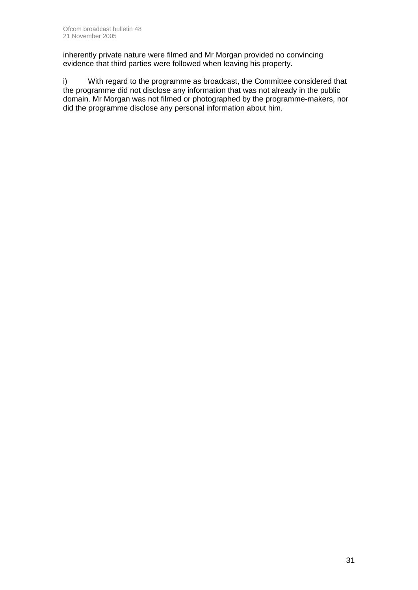inherently private nature were filmed and Mr Morgan provided no convincing evidence that third parties were followed when leaving his property.

i) With regard to the programme as broadcast, the Committee considered that the programme did not disclose any information that was not already in the public domain. Mr Morgan was not filmed or photographed by the programme-makers, nor did the programme disclose any personal information about him.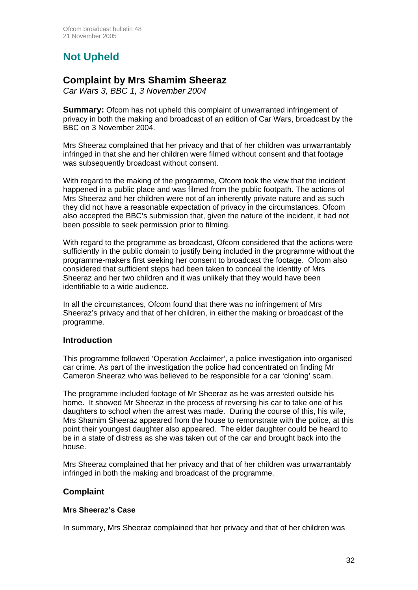# **Not Upheld**

# **Complaint by Mrs Shamim Sheeraz**

*Car Wars 3, BBC 1, 3 November 2004*

**Summary:** Ofcom has not upheld this complaint of unwarranted infringement of privacy in both the making and broadcast of an edition of Car Wars, broadcast by the BBC on 3 November 2004.

Mrs Sheeraz complained that her privacy and that of her children was unwarrantably infringed in that she and her children were filmed without consent and that footage was subsequently broadcast without consent.

With regard to the making of the programme, Ofcom took the view that the incident happened in a public place and was filmed from the public footpath. The actions of Mrs Sheeraz and her children were not of an inherently private nature and as such they did not have a reasonable expectation of privacy in the circumstances. Ofcom also accepted the BBC's submission that, given the nature of the incident, it had not been possible to seek permission prior to filming.

With regard to the programme as broadcast, Ofcom considered that the actions were sufficiently in the public domain to justify being included in the programme without the programme-makers first seeking her consent to broadcast the footage. Ofcom also considered that sufficient steps had been taken to conceal the identity of Mrs Sheeraz and her two children and it was unlikely that they would have been identifiable to a wide audience.

In all the circumstances, Ofcom found that there was no infringement of Mrs Sheeraz's privacy and that of her children, in either the making or broadcast of the programme.

# **Introduction**

This programme followed 'Operation Acclaimer', a police investigation into organised car crime. As part of the investigation the police had concentrated on finding Mr Cameron Sheeraz who was believed to be responsible for a car 'cloning' scam.

The programme included footage of Mr Sheeraz as he was arrested outside his home. It showed Mr Sheeraz in the process of reversing his car to take one of his daughters to school when the arrest was made. During the course of this, his wife, Mrs Shamim Sheeraz appeared from the house to remonstrate with the police, at this point their youngest daughter also appeared. The elder daughter could be heard to be in a state of distress as she was taken out of the car and brought back into the house.

Mrs Sheeraz complained that her privacy and that of her children was unwarrantably infringed in both the making and broadcast of the programme.

# **Complaint**

#### **Mrs Sheeraz's Case**

In summary, Mrs Sheeraz complained that her privacy and that of her children was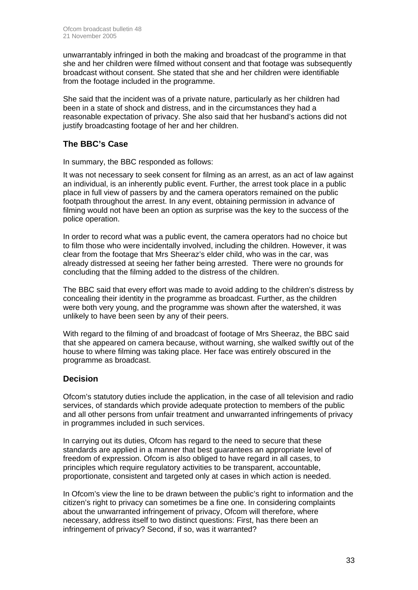unwarrantably infringed in both the making and broadcast of the programme in that she and her children were filmed without consent and that footage was subsequently broadcast without consent. She stated that she and her children were identifiable from the footage included in the programme.

She said that the incident was of a private nature, particularly as her children had been in a state of shock and distress, and in the circumstances they had a reasonable expectation of privacy. She also said that her husband's actions did not justify broadcasting footage of her and her children.

# **The BBC's Case**

In summary, the BBC responded as follows:

It was not necessary to seek consent for filming as an arrest, as an act of law against an individual, is an inherently public event. Further, the arrest took place in a public place in full view of passers by and the camera operators remained on the public footpath throughout the arrest. In any event, obtaining permission in advance of filming would not have been an option as surprise was the key to the success of the police operation.

In order to record what was a public event, the camera operators had no choice but to film those who were incidentally involved, including the children. However, it was clear from the footage that Mrs Sheeraz's elder child, who was in the car, was already distressed at seeing her father being arrested. There were no grounds for concluding that the filming added to the distress of the children.

The BBC said that every effort was made to avoid adding to the children's distress by concealing their identity in the programme as broadcast. Further, as the children were both very young, and the programme was shown after the watershed, it was unlikely to have been seen by any of their peers.

With regard to the filming of and broadcast of footage of Mrs Sheeraz, the BBC said that she appeared on camera because, without warning, she walked swiftly out of the house to where filming was taking place. Her face was entirely obscured in the programme as broadcast.

# **Decision**

Ofcom's statutory duties include the application, in the case of all television and radio services, of standards which provide adequate protection to members of the public and all other persons from unfair treatment and unwarranted infringements of privacy in programmes included in such services.

In carrying out its duties, Ofcom has regard to the need to secure that these standards are applied in a manner that best guarantees an appropriate level of freedom of expression. Ofcom is also obliged to have regard in all cases, to principles which require regulatory activities to be transparent, accountable, proportionate, consistent and targeted only at cases in which action is needed.

In Ofcom's view the line to be drawn between the public's right to information and the citizen's right to privacy can sometimes be a fine one. In considering complaints about the unwarranted infringement of privacy, Ofcom will therefore, where necessary, address itself to two distinct questions: First, has there been an infringement of privacy? Second, if so, was it warranted?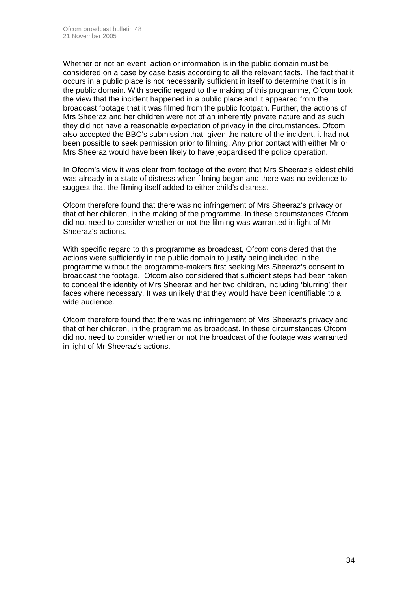Whether or not an event, action or information is in the public domain must be considered on a case by case basis according to all the relevant facts. The fact that it occurs in a public place is not necessarily sufficient in itself to determine that it is in the public domain. With specific regard to the making of this programme, Ofcom took the view that the incident happened in a public place and it appeared from the broadcast footage that it was filmed from the public footpath. Further, the actions of Mrs Sheeraz and her children were not of an inherently private nature and as such they did not have a reasonable expectation of privacy in the circumstances. Ofcom also accepted the BBC's submission that, given the nature of the incident, it had not been possible to seek permission prior to filming. Any prior contact with either Mr or Mrs Sheeraz would have been likely to have jeopardised the police operation.

In Ofcom's view it was clear from footage of the event that Mrs Sheeraz's eldest child was already in a state of distress when filming began and there was no evidence to suggest that the filming itself added to either child's distress.

Ofcom therefore found that there was no infringement of Mrs Sheeraz's privacy or that of her children, in the making of the programme. In these circumstances Ofcom did not need to consider whether or not the filming was warranted in light of Mr Sheeraz's actions.

With specific regard to this programme as broadcast, Ofcom considered that the actions were sufficiently in the public domain to justify being included in the programme without the programme-makers first seeking Mrs Sheeraz's consent to broadcast the footage. Ofcom also considered that sufficient steps had been taken to conceal the identity of Mrs Sheeraz and her two children, including 'blurring' their faces where necessary. It was unlikely that they would have been identifiable to a wide audience.

Ofcom therefore found that there was no infringement of Mrs Sheeraz's privacy and that of her children, in the programme as broadcast. In these circumstances Ofcom did not need to consider whether or not the broadcast of the footage was warranted in light of Mr Sheeraz's actions.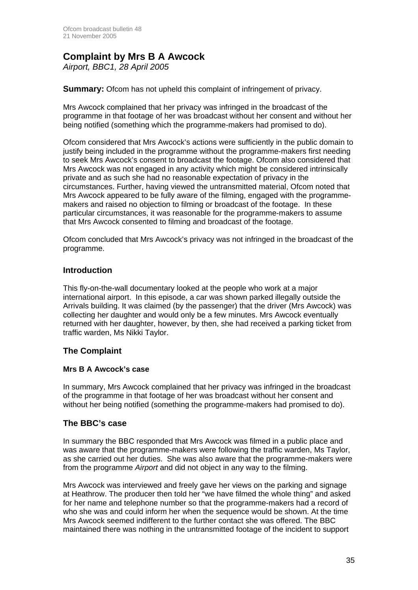# **Complaint by Mrs B A Awcock**

*Airport, BBC1, 28 April 2005* 

**Summary:** Ofcom has not upheld this complaint of infringement of privacy.

Mrs Awcock complained that her privacy was infringed in the broadcast of the programme in that footage of her was broadcast without her consent and without her being notified (something which the programme-makers had promised to do).

Ofcom considered that Mrs Awcock's actions were sufficiently in the public domain to justify being included in the programme without the programme-makers first needing to seek Mrs Awcock's consent to broadcast the footage. Ofcom also considered that Mrs Awcock was not engaged in any activity which might be considered intrinsically private and as such she had no reasonable expectation of privacy in the circumstances. Further, having viewed the untransmitted material, Ofcom noted that Mrs Awcock appeared to be fully aware of the filming, engaged with the programmemakers and raised no objection to filming or broadcast of the footage. In these particular circumstances, it was reasonable for the programme-makers to assume that Mrs Awcock consented to filming and broadcast of the footage.

Ofcom concluded that Mrs Awcock's privacy was not infringed in the broadcast of the programme.

# **Introduction**

This fly-on-the-wall documentary looked at the people who work at a major international airport. In this episode, a car was shown parked illegally outside the Arrivals building. It was claimed (by the passenger) that the driver (Mrs Awcock) was collecting her daughter and would only be a few minutes. Mrs Awcock eventually returned with her daughter, however, by then, she had received a parking ticket from traffic warden, Ms Nikki Taylor.

# **The Complaint**

#### **Mrs B A Awcock's case**

In summary, Mrs Awcock complained that her privacy was infringed in the broadcast of the programme in that footage of her was broadcast without her consent and without her being notified (something the programme-makers had promised to do).

# **The BBC's case**

In summary the BBC responded that Mrs Awcock was filmed in a public place and was aware that the programme-makers were following the traffic warden, Ms Taylor, as she carried out her duties. She was also aware that the programme-makers were from the programme *Airport* and did not object in any way to the filming.

Mrs Awcock was interviewed and freely gave her views on the parking and signage at Heathrow. The producer then told her "we have filmed the whole thing" and asked for her name and telephone number so that the programme-makers had a record of who she was and could inform her when the sequence would be shown. At the time Mrs Awcock seemed indifferent to the further contact she was offered. The BBC maintained there was nothing in the untransmitted footage of the incident to support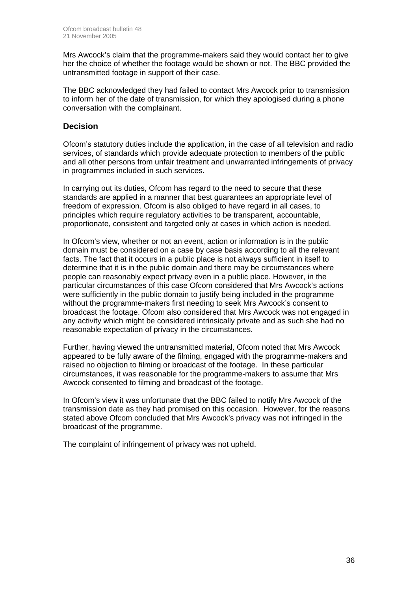Mrs Awcock's claim that the programme-makers said they would contact her to give her the choice of whether the footage would be shown or not. The BBC provided the untransmitted footage in support of their case.

The BBC acknowledged they had failed to contact Mrs Awcock prior to transmission to inform her of the date of transmission, for which they apologised during a phone conversation with the complainant.

#### **Decision**

Ofcom's statutory duties include the application, in the case of all television and radio services, of standards which provide adequate protection to members of the public and all other persons from unfair treatment and unwarranted infringements of privacy in programmes included in such services.

In carrying out its duties, Ofcom has regard to the need to secure that these standards are applied in a manner that best guarantees an appropriate level of freedom of expression. Ofcom is also obliged to have regard in all cases, to principles which require regulatory activities to be transparent, accountable, proportionate, consistent and targeted only at cases in which action is needed.

In Ofcom's view, whether or not an event, action or information is in the public domain must be considered on a case by case basis according to all the relevant facts. The fact that it occurs in a public place is not always sufficient in itself to determine that it is in the public domain and there may be circumstances where people can reasonably expect privacy even in a public place. However, in the particular circumstances of this case Ofcom considered that Mrs Awcock's actions were sufficiently in the public domain to justify being included in the programme without the programme-makers first needing to seek Mrs Awcock's consent to broadcast the footage. Ofcom also considered that Mrs Awcock was not engaged in any activity which might be considered intrinsically private and as such she had no reasonable expectation of privacy in the circumstances.

Further, having viewed the untransmitted material, Ofcom noted that Mrs Awcock appeared to be fully aware of the filming, engaged with the programme-makers and raised no objection to filming or broadcast of the footage. In these particular circumstances, it was reasonable for the programme-makers to assume that Mrs Awcock consented to filming and broadcast of the footage.

In Ofcom's view it was unfortunate that the BBC failed to notify Mrs Awcock of the transmission date as they had promised on this occasion. However, for the reasons stated above Ofcom concluded that Mrs Awcock's privacy was not infringed in the broadcast of the programme.

The complaint of infringement of privacy was not upheld.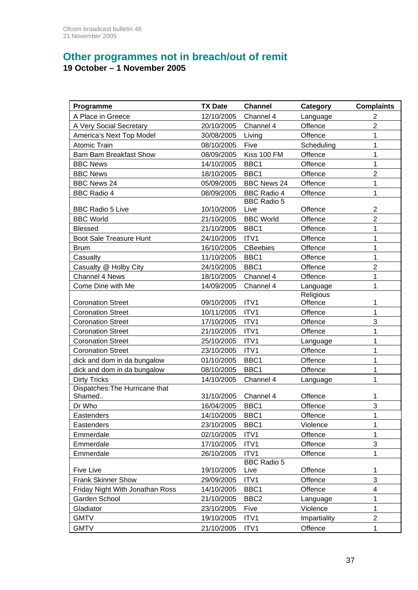# **Other programmes not in breach/out of remit**

# **19 October – 1 November 2005**

| Programme                       | <b>TX Date</b> | <b>Channel</b>             | Category     | <b>Complaints</b>   |
|---------------------------------|----------------|----------------------------|--------------|---------------------|
| A Place in Greece               | 12/10/2005     | Channel 4                  | Language     | $\overline{2}$      |
| A Very Social Secretary         | 20/10/2005     | Channel 4                  | Offence      | $\overline{2}$      |
| America's Next Top Model        | 30/08/2005     | Living                     | Offence      | 1                   |
| <b>Atomic Train</b>             | 08/10/2005     | Five                       | Scheduling   | 1                   |
| <b>Bam Bam Breakfast Show</b>   | 08/09/2005     | Kiss 100 FM                | Offence      | 1                   |
| <b>BBC News</b>                 | 14/10/2005     | BBC1                       | Offence      | 1                   |
| <b>BBC News</b>                 | 18/10/2005     | BBC1                       | Offence      | $\overline{2}$      |
| <b>BBC News 24</b>              | 05/09/2005     | <b>BBC News 24</b>         | Offence      | 1                   |
| <b>BBC Radio 4</b>              | 08/09/2005     | <b>BBC Radio 4</b>         | Offence      | $\mathbf 1$         |
|                                 |                | <b>BBC</b> Radio 5         |              |                     |
| <b>BBC Radio 5 Live</b>         | 10/10/2005     | Live                       | Offence      | $\overline{2}$      |
| <b>BBC World</b>                | 21/10/2005     | <b>BBC World</b>           | Offence      | $\overline{2}$      |
| <b>Blessed</b>                  | 21/10/2005     | BBC1                       | Offence      | 1                   |
| Boot Sale Treasure Hunt         | 24/10/2005     | ITV1                       | Offence      | $\mathbf 1$         |
| <b>Brum</b>                     | 16/10/2005     | <b>CBeebies</b>            | Offence      | 1                   |
| Casualty                        | 11/10/2005     | BBC1                       | Offence      | 1                   |
| Casualty @ Holby City           | 24/10/2005     | BBC1                       | Offence      | $\overline{2}$      |
| <b>Channel 4 News</b>           | 18/10/2005     | Channel 4                  | Offence      | 1                   |
| Come Dine with Me               | 14/09/2005     | Channel 4                  | Language     | 1                   |
|                                 |                |                            | Religious    |                     |
| <b>Coronation Street</b>        | 09/10/2005     | ITV1                       | Offence      | 1                   |
| <b>Coronation Street</b>        | 10/11/2005     | ITV1                       | Offence      | 1                   |
| <b>Coronation Street</b>        | 17/10/2005     | ITV1                       | Offence      | 3                   |
| <b>Coronation Street</b>        | 21/10/2005     | ITV1                       | Offence      | 1                   |
| <b>Coronation Street</b>        | 25/10/2005     | ITV1                       | Language     | 1                   |
| <b>Coronation Street</b>        | 23/10/2005     | ITV1                       | Offence      | 1                   |
| dick and dom in da bungalow     | 01/10/2005     | BBC1                       | Offence      | 1                   |
| dick and dom in da bungalow     | 08/10/2005     | BBC1                       | Offence      | 1                   |
| <b>Dirty Tricks</b>             | 14/10/2005     | Channel 4                  | Language     | 1                   |
| Dispatches: The Hurricane that  |                |                            |              |                     |
| Shamed                          | 31/10/2005     | Channel 4                  | Offence      | 1                   |
| Dr Who                          | 16/04/2005     | BBC1                       | Offence      | 3                   |
| Eastenders                      | 14/10/2005     | BBC1                       | Offence      | 1                   |
| Eastenders                      | 23/10/2005     | BBC1                       | Violence     | 1                   |
| Emmerdale                       | 02/10/2005     | ITV1                       | Offence      | 1                   |
| Emmerdale                       | 17/10/2005     | ITV1                       | Offence      | 3                   |
| Emmerdale                       | 26/10/2005     | ITV1                       | Offence      | 1                   |
| Five Live                       | 19/10/2005     | <b>BBC Radio 5</b><br>Live | Offence      | 1                   |
| <b>Frank Skinner Show</b>       | 29/09/2005     | ITV1                       | Offence      | 3                   |
| Friday Night With Jonathan Ross | 14/10/2005     | BBC1                       | Offence      | 4                   |
| Garden School                   | 21/10/2005     | BBC <sub>2</sub>           |              | 1                   |
|                                 |                |                            | Language     |                     |
| Gladiator                       | 23/10/2005     | Five                       | Violence     | 1<br>$\overline{c}$ |
| <b>GMTV</b>                     | 19/10/2005     | ITV1                       | Impartiality |                     |
| <b>GMTV</b>                     | 21/10/2005     | ITV1                       | Offence      | $\mathbf{1}$        |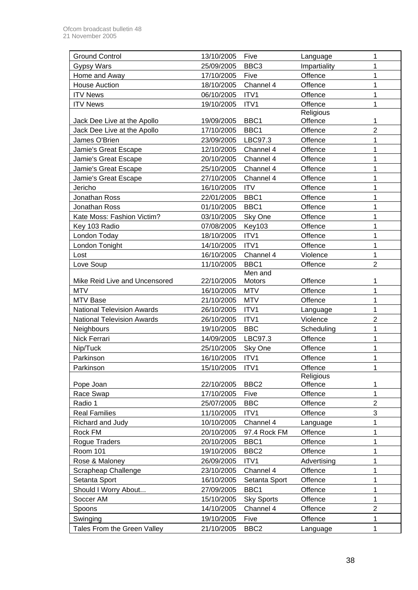| <b>Ground Control</b>             | 13/10/2005 | Five              | Language     | 1              |
|-----------------------------------|------------|-------------------|--------------|----------------|
| <b>Gypsy Wars</b>                 | 25/09/2005 | BBC <sub>3</sub>  | Impartiality | 1              |
| Home and Away                     | 17/10/2005 | Five              | Offence      | 1              |
| <b>House Auction</b>              | 18/10/2005 | Channel 4         | Offence      | 1              |
| <b>ITV News</b>                   | 06/10/2005 | ITV1              | Offence      | $\mathbf 1$    |
| <b>ITV News</b>                   | 19/10/2005 | ITV1              | Offence      | $\mathbf 1$    |
|                                   |            |                   | Religious    |                |
| Jack Dee Live at the Apollo       | 19/09/2005 | BBC1              | Offence      | 1              |
| Jack Dee Live at the Apollo       | 17/10/2005 | BBC1              | Offence      | $\overline{2}$ |
| James O'Brien                     | 23/09/2005 | LBC97.3           | Offence      | $\mathbf 1$    |
| Jamie's Great Escape              | 12/10/2005 | Channel 4         | Offence      | 1              |
| Jamie's Great Escape              | 20/10/2005 | Channel 4         | Offence      | 1              |
| Jamie's Great Escape              | 25/10/2005 | Channel 4         | Offence      | 1              |
| Jamie's Great Escape              | 27/10/2005 | Channel 4         | Offence      | 1              |
| Jericho                           | 16/10/2005 | <b>ITV</b>        | Offence      | 1              |
| Jonathan Ross                     | 22/01/2005 | BBC1              | Offence      | 1              |
| Jonathan Ross                     | 01/10/2005 | BBC1              | Offence      | $\mathbf 1$    |
| Kate Moss: Fashion Victim?        | 03/10/2005 | Sky One           | Offence      | 1              |
| Key 103 Radio                     | 07/08/2005 | <b>Key103</b>     | Offence      | 1              |
| London Today                      | 18/10/2005 | ITV1              | Offence      | 1              |
| London Tonight                    | 14/10/2005 | ITV1              | Offence      | 1              |
| Lost                              | 16/10/2005 | Channel 4         | Violence     | 1              |
| Love Soup                         | 11/10/2005 | BBC1              | Offence      | $\overline{2}$ |
|                                   |            | Men and           |              |                |
| Mike Reid Live and Uncensored     | 22/10/2005 | Motors            | Offence      | 1              |
| <b>MTV</b>                        | 16/10/2005 | <b>MTV</b>        | Offence      | 1              |
| <b>MTV Base</b>                   | 21/10/2005 | <b>MTV</b>        | Offence      | 1              |
| <b>National Television Awards</b> | 26/10/2005 | ITV1              | Language     | 1              |
| <b>National Television Awards</b> | 26/10/2005 | ITV1              | Violence     | $\overline{2}$ |
| Neighbours                        | 19/10/2005 | <b>BBC</b>        | Scheduling   | $\mathbf 1$    |
| Nick Ferrari                      | 14/09/2005 | LBC97.3           | Offence      | $\mathbf 1$    |
| Nip/Tuck                          | 25/10/2005 | Sky One           | Offence      | $\overline{1}$ |
| Parkinson                         | 16/10/2005 | ITV1              | Offence      | 1              |
| Parkinson                         | 15/10/2005 | ITV1              | Offence      | 1              |
|                                   |            |                   | Religious    |                |
| Pope Joan                         | 22/10/2005 | BBC <sub>2</sub>  | Offence      | 1              |
| Race Swap                         | 17/10/2005 | Five              | Offence      | 1              |
| Radio 1                           | 25/07/2005 | <b>BBC</b>        | Offence      | $\overline{2}$ |
| <b>Real Families</b>              | 11/10/2005 | ITV1              | Offence      | 3              |
| Richard and Judy                  | 10/10/2005 | Channel 4         | Language     | 1              |
| Rock FM                           | 20/10/2005 | 97.4 Rock FM      | Offence      | 1              |
| Rogue Traders                     | 20/10/2005 | BBC1              | Offence      | 1              |
| Room 101                          | 19/10/2005 | BBC <sub>2</sub>  | Offence      | 1              |
| Rose & Maloney                    | 26/09/2005 | ITV1              | Advertising  | 1              |
| Scrapheap Challenge               | 23/10/2005 | Channel 4         | Offence      | 1              |
| Setanta Sport                     | 16/10/2005 | Setanta Sport     | Offence      | $\mathbf 1$    |
| Should I Worry About              | 27/09/2005 | BBC1              | Offence      | 1              |
| Soccer AM                         | 15/10/2005 | <b>Sky Sports</b> | Offence      | 1              |
| Spoons                            | 14/10/2005 | Channel 4         | Offence      | $\overline{2}$ |
| Swinging                          | 19/10/2005 | Five              | Offence      | 1              |
| Tales From the Green Valley       | 21/10/2005 | BBC <sub>2</sub>  | Language     | 1              |
|                                   |            |                   |              |                |